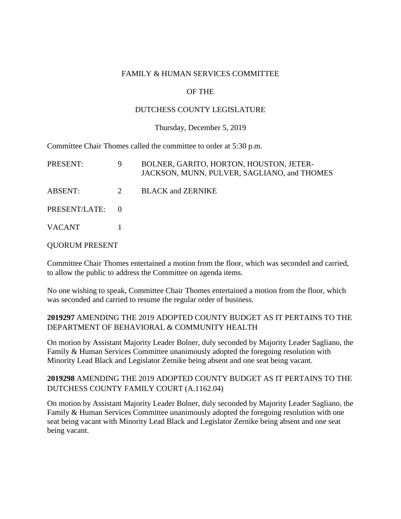### FAMILY & HUMAN SERVICES COMMITTEE

## OF THE

## DUTCHESS COUNTY LEGISLATURE

#### Thursday, December 5, 2019

Committee Chair Thomes called the committee to order at 5:30 p.m.

| PRESENT:        | 9 | BOLNER, GARITO, HORTON, HOUSTON, JETER-<br>JACKSON, MUNN, PULVER, SAGLIANO, and THOMES |
|-----------------|---|----------------------------------------------------------------------------------------|
| ABSENT:         | 2 | <b>BLACK and ZERNIKE</b>                                                               |
| PRESENT/LATE: 0 |   |                                                                                        |
| <b>VACANT</b>   |   |                                                                                        |

#### QUORUM PRESENT

Committee Chair Thomes entertained a motion from the floor, which was seconded and carried, to allow the public to address the Committee on agenda items.

No one wishing to speak, Committee Chair Thomes entertained a motion from the floor, which was seconded and carried to resume the regular order of business.

# **2019297** AMENDING THE 2019 ADOPTED COUNTY BUDGET AS IT PERTAINS TO THE DEPARTMENT OF BEHAVIORAL & COMMUNITY HEALTH

On motion by Assistant Majority Leader Bolner, duly seconded by Majority Leader Sagliano, the Family & Human Services Committee unanimously adopted the foregoing resolution with Minority Lead Black and Legislator Zernike being absent and one seat being vacant.

# **2019298** AMENDING THE 2019 ADOPTED COUNTY BUDGET AS IT PERTAINS TO THE DUTCHESS COUNTY FAMILY COURT (A.1162.04)

On motion by Assistant Majority Leader Bolner, duly seconded by Majority Leader Sagliano, the Family & Human Services Committee unanimously adopted the foregoing resolution with one seat being vacant with Minority Lead Black and Legislator Zernike being absent and one seat being vacant.